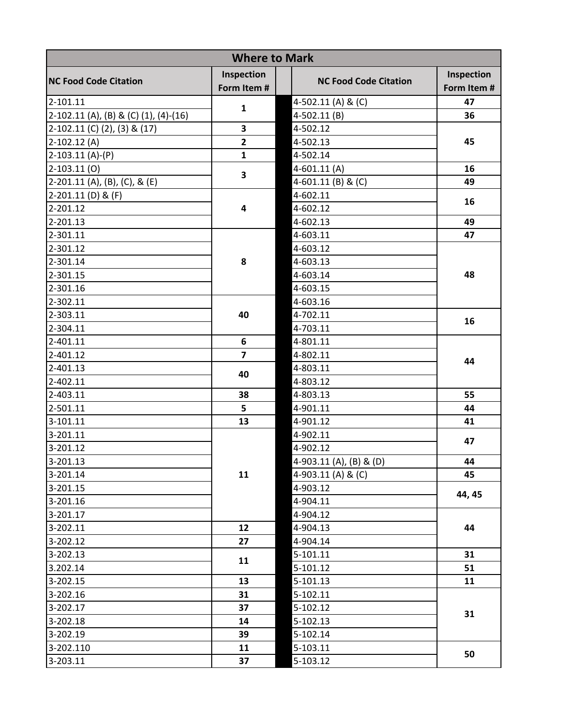| Inspection<br>Inspection<br><b>NC Food Code Citation</b><br><b>NC Food Code Citation</b><br>Form Item #<br>Form Item #<br>47<br>2-101.11<br>4-502.11 (A) & (C) |    |
|----------------------------------------------------------------------------------------------------------------------------------------------------------------|----|
|                                                                                                                                                                |    |
| $\mathbf{1}$                                                                                                                                                   |    |
| 2-102.11 (A), (B) & (C) (1), (4)-(16)<br>4-502.11(B)<br>36                                                                                                     |    |
| 3<br>2-102.11 (C) (2), (3) & (17)<br>4-502.12                                                                                                                  | 45 |
| $\overline{2}$<br>$2-102.12(A)$<br>4-502.13                                                                                                                    |    |
| $\mathbf{1}$<br>$2-103.11(A)-(P)$<br>4-502.14                                                                                                                  |    |
| $2-103.11(0)$<br>$4-601.11(A)$<br>16<br>3                                                                                                                      |    |
| 49<br>$2-201.11$ (A), (B), (C), & (E)<br>4-601.11 (B) & (C)                                                                                                    |    |
| 2-201.11 (D) & (F)<br>4-602.11<br>16                                                                                                                           |    |
| 4<br>2-201.12<br>4-602.12                                                                                                                                      |    |
| 4-602.13<br>49<br>2-201.13                                                                                                                                     |    |
| 2-301.11<br>4-603.11<br>47                                                                                                                                     |    |
| 2-301.12<br>4-603.12                                                                                                                                           |    |
| 8<br>2-301.14<br>4-603.13                                                                                                                                      |    |
| 2-301.15<br>4-603.14                                                                                                                                           | 48 |
| 2-301.16<br>4-603.15                                                                                                                                           |    |
| 2-302.11<br>4-603.16                                                                                                                                           |    |
| 40<br>2-303.11<br>4-702.11                                                                                                                                     |    |
| 2-304.11<br>4-703.11                                                                                                                                           | 16 |
| 6<br>2-401.11<br>4-801.11                                                                                                                                      |    |
| $\overline{7}$<br>2-401.12<br>4-802.11                                                                                                                         | 44 |
| 4-803.11<br>2-401.13                                                                                                                                           |    |
| 40<br>4-803.12<br>2-402.11                                                                                                                                     |    |
| 55<br>2-403.11<br>38<br>4-803.13                                                                                                                               |    |
| 5<br>44<br>2-501.11<br>4-901.11                                                                                                                                |    |
| 3-101.11<br>13<br>4-901.12<br>41                                                                                                                               |    |
| 3-201.11<br>4-902.11                                                                                                                                           |    |
| 3-201.12<br>4-902.12                                                                                                                                           | 47 |
| $3 - 201.13$<br>4-903.11 (A), (B) & (D)<br>44                                                                                                                  |    |
| 11<br>4-903.11 (A) & (C)<br>45<br>3-201.14                                                                                                                     |    |
| 3-201.15<br>4-903.12                                                                                                                                           |    |
| 44, 45<br>3-201.16<br>4-904.11                                                                                                                                 |    |
| 3-201.17<br>4-904.12                                                                                                                                           |    |
| 44<br>3-202.11<br>12<br>4-904.13                                                                                                                               |    |
| 3-202.12<br>27<br>4-904.14                                                                                                                                     |    |
| 3-202.13<br>31<br>5-101.11                                                                                                                                     |    |
| 11<br>5-101.12<br>3.202.14<br>51                                                                                                                               |    |
| 3-202.15<br>13<br>5-101.13<br>11                                                                                                                               |    |
| 3-202.16<br>31<br>5-102.11                                                                                                                                     |    |
| 3-202.17<br>37<br>5-102.12                                                                                                                                     |    |
| 31<br>14<br>5-102.13<br>3-202.18                                                                                                                               |    |
| 3-202.19<br>39<br>5-102.14                                                                                                                                     |    |
| 3-202.110<br>5-103.11<br>11                                                                                                                                    | 50 |
| 3-203.11<br>37<br>5-103.12                                                                                                                                     |    |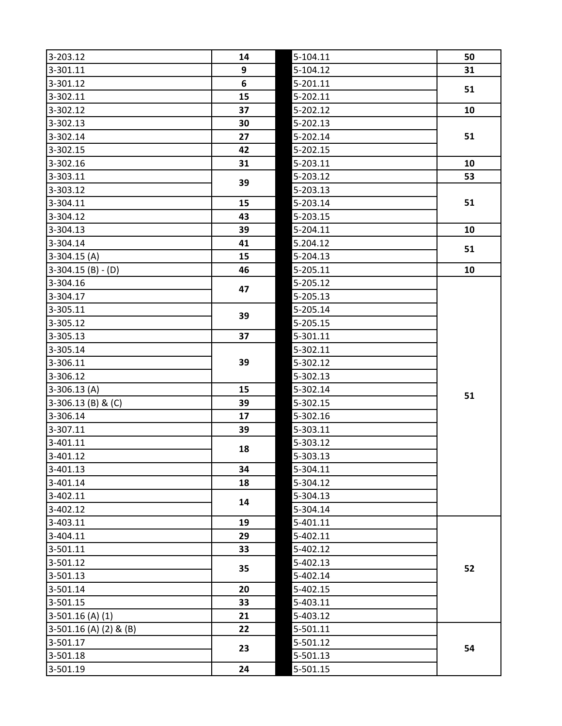| 3-203.12               | 14 | $5 - 104.11$ | 50 |
|------------------------|----|--------------|----|
| 3-301.11               | 9  | 5-104.12     | 31 |
| 3-301.12               | 6  | 5-201.11     | 51 |
| 3-302.11               | 15 | 5-202.11     |    |
| 3-302.12               | 37 | 5-202.12     | 10 |
| 3-302.13               | 30 | 5-202.13     |    |
| 3-302.14               | 27 | 5-202.14     | 51 |
| 3-302.15               | 42 | 5-202.15     |    |
| 3-302.16               | 31 | 5-203.11     | 10 |
| 3-303.11               | 39 | 5-203.12     | 53 |
| 3-303.12               |    | 5-203.13     |    |
| 3-304.11               | 15 | 5-203.14     | 51 |
| 3-304.12               | 43 | 5-203.15     |    |
| 3-304.13               | 39 | 5-204.11     | 10 |
| 3-304.14               | 41 | 5.204.12     | 51 |
| $3-304.15(A)$          | 15 | 5-204.13     |    |
| $3-304.15(B) - (D)$    | 46 | 5-205.11     | 10 |
| 3-304.16               | 47 | 5-205.12     |    |
| 3-304.17               |    | 5-205.13     |    |
| 3-305.11               | 39 | 5-205.14     |    |
| 3-305.12               |    | 5-205.15     |    |
| 3-305.13               | 37 | 5-301.11     |    |
| 3-305.14               |    | 5-302.11     |    |
| 3-306.11               | 39 | 5-302.12     |    |
| 3-306.12               |    | 5-302.13     |    |
| $3-306.13(A)$          | 15 | 5-302.14     | 51 |
| $3-306.13$ (B) & (C)   | 39 | 5-302.15     |    |
| 3-306.14               | 17 | 5-302.16     |    |
| 3-307.11               | 39 | 5-303.11     |    |
| 3-401.11               | 18 | 5-303.12     |    |
| 3-401.12               |    | 5-303.13     |    |
| 3-401.13               | 34 | 5-304.11     |    |
| 3-401.14               | 18 | 5-304.12     |    |
| 3-402.11               | 14 | 5-304.13     |    |
| 3-402.12               |    | 5-304.14     |    |
| 3-403.11               | 19 | 5-401.11     |    |
| 3-404.11               | 29 | 5-402.11     |    |
| 3-501.11               | 33 | 5-402.12     |    |
| 3-501.12               | 35 | 5-402.13     | 52 |
| 3-501.13               |    | 5-402.14     |    |
| 3-501.14               | 20 | 5-402.15     |    |
| 3-501.15               | 33 | 5-403.11     |    |
| $3-501.16$ (A) (1)     | 21 | 5-403.12     |    |
| 3-501.16 (A) (2) & (B) | 22 | 5-501.11     |    |
| 3-501.17               | 23 | 5-501.12     | 54 |
| 3-501.18               |    | 5-501.13     |    |
| 3-501.19               | 24 | 5-501.15     |    |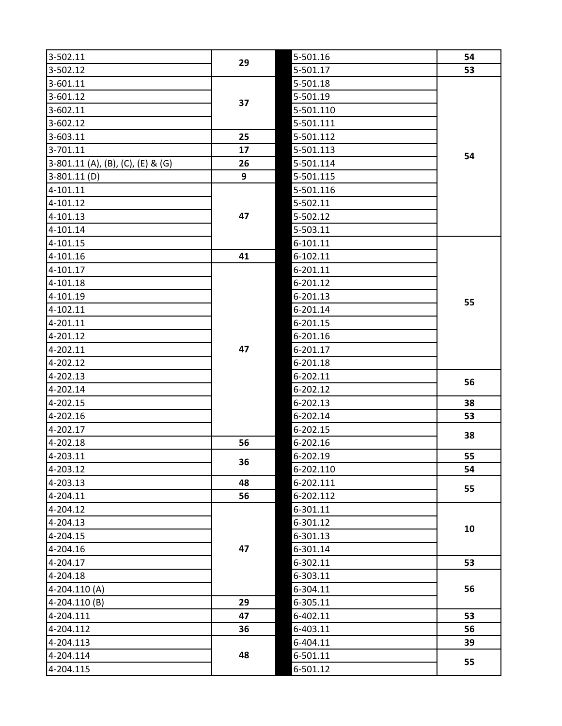| 3-502.11                          | 29       | 5-501.16  | 54 |
|-----------------------------------|----------|-----------|----|
| 3-502.12                          |          | 5-501.17  | 53 |
| 3-601.11                          | 37<br>25 | 5-501.18  |    |
| 3-601.12                          |          | 5-501.19  |    |
| 3-602.11                          |          | 5-501.110 |    |
| 3-602.12                          |          | 5-501.111 |    |
| 3-603.11                          |          | 5-501.112 |    |
| 3-701.11                          | 17       | 5-501.113 | 54 |
| 3-801.11 (A), (B), (C), (E) & (G) | 26       | 5-501.114 |    |
| $3 - 801.11$ (D)                  | 9        | 5-501.115 |    |
| 4-101.11                          |          | 5-501.116 |    |
| 4-101.12                          |          | 5-502.11  |    |
| 4-101.13                          | 47       | 5-502.12  |    |
| 4-101.14                          |          | 5-503.11  |    |
| 4-101.15                          |          | 6-101.11  |    |
| 4-101.16                          | 41       | 6-102.11  |    |
| 4-101.17                          |          | 6-201.11  |    |
| 4-101.18                          |          | 6-201.12  | 55 |
| 4-101.19                          |          | 6-201.13  |    |
| 4-102.11                          |          | 6-201.14  |    |
| 4-201.11                          |          | 6-201.15  |    |
| 4-201.12                          |          | 6-201.16  |    |
| 4-202.11                          | 47       | 6-201.17  |    |
| 4-202.12                          |          | 6-201.18  |    |
| 4-202.13                          |          | 6-202.11  | 56 |
| 4-202.14                          |          | 6-202.12  |    |
| 4-202.15                          |          | 6-202.13  | 38 |
| 4-202.16                          |          | 6-202.14  | 53 |
| 4-202.17                          |          | 6-202.15  | 38 |
| 4-202.18                          | 56       | 6-202.16  |    |
| 4-203.11                          | 36       | 6-202.19  | 55 |
| 4-203.12                          |          | 6-202.110 | 54 |
| 4-203.13                          | 48       | 6-202.111 | 55 |
| 4-204.11                          | 56       | 6-202.112 |    |
| 4-204.12                          |          | 6-301.11  |    |
| 4-204.13                          | 47       | 6-301.12  | 10 |
| 4-204.15                          |          | 6-301.13  |    |
| 4-204.16                          |          | 6-301.14  |    |
| 4-204.17                          |          | 6-302.11  | 53 |
| 4-204.18                          |          | 6-303.11  |    |
| 4-204.110(A)                      |          | 6-304.11  | 56 |
| $4 - 204.110(B)$                  | 29       | 6-305.11  |    |
| 4-204.111                         | 47       | 6-402.11  | 53 |
| 4-204.112                         | 36       | 6-403.11  | 56 |
| 4-204.113                         |          | 6-404.11  | 39 |
| 4-204.114                         | 48       | 6-501.11  | 55 |
| 4-204.115                         |          | 6-501.12  |    |